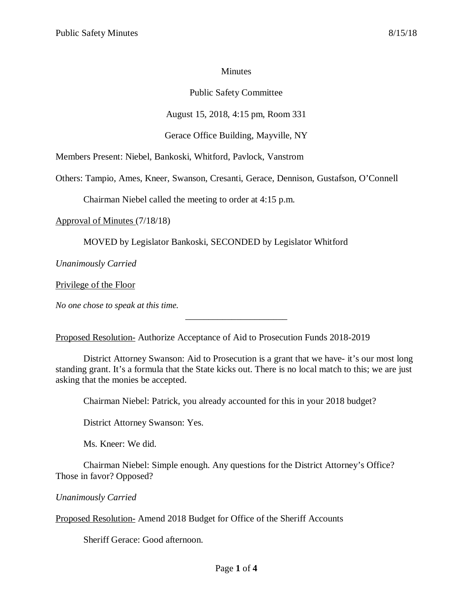### **Minutes**

# Public Safety Committee

# August 15, 2018, 4:15 pm, Room 331

## Gerace Office Building, Mayville, NY

Members Present: Niebel, Bankoski, Whitford, Pavlock, Vanstrom

Others: Tampio, Ames, Kneer, Swanson, Cresanti, Gerace, Dennison, Gustafson, O'Connell

Chairman Niebel called the meeting to order at 4:15 p.m.

Approval of Minutes (7/18/18)

MOVED by Legislator Bankoski, SECONDED by Legislator Whitford

*Unanimously Carried*

Privilege of the Floor

*No one chose to speak at this time.*

Proposed Resolution- Authorize Acceptance of Aid to Prosecution Funds 2018-2019

District Attorney Swanson: Aid to Prosecution is a grant that we have- it's our most long standing grant. It's a formula that the State kicks out. There is no local match to this; we are just asking that the monies be accepted.

\_\_\_\_\_\_\_\_\_\_\_\_\_\_\_\_\_\_\_\_\_\_

Chairman Niebel: Patrick, you already accounted for this in your 2018 budget?

District Attorney Swanson: Yes.

Ms. Kneer: We did.

Chairman Niebel: Simple enough. Any questions for the District Attorney's Office? Those in favor? Opposed?

# *Unanimously Carried*

Proposed Resolution- Amend 2018 Budget for Office of the Sheriff Accounts

Sheriff Gerace: Good afternoon.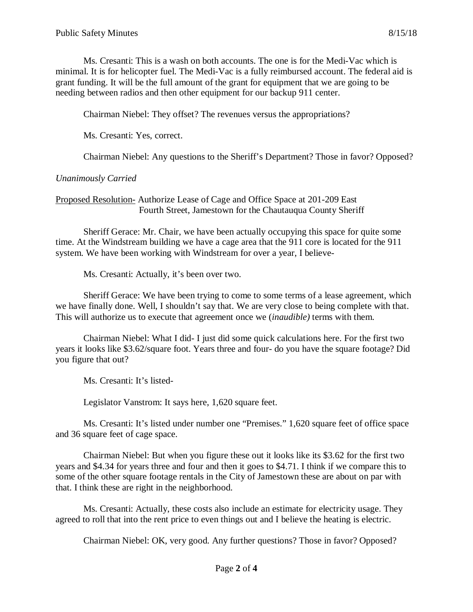Ms. Cresanti: This is a wash on both accounts. The one is for the Medi-Vac which is minimal. It is for helicopter fuel. The Medi-Vac is a fully reimbursed account. The federal aid is grant funding. It will be the full amount of the grant for equipment that we are going to be needing between radios and then other equipment for our backup 911 center.

Chairman Niebel: They offset? The revenues versus the appropriations?

Ms. Cresanti: Yes, correct.

Chairman Niebel: Any questions to the Sheriff's Department? Those in favor? Opposed?

#### *Unanimously Carried*

Proposed Resolution- Authorize Lease of Cage and Office Space at 201-209 East Fourth Street, Jamestown for the Chautauqua County Sheriff

Sheriff Gerace: Mr. Chair, we have been actually occupying this space for quite some time. At the Windstream building we have a cage area that the 911 core is located for the 911 system. We have been working with Windstream for over a year, I believe-

Ms. Cresanti: Actually, it's been over two.

Sheriff Gerace: We have been trying to come to some terms of a lease agreement, which we have finally done. Well, I shouldn't say that. We are very close to being complete with that. This will authorize us to execute that agreement once we (*inaudible)* terms with them.

Chairman Niebel: What I did- I just did some quick calculations here. For the first two years it looks like \$3.62/square foot. Years three and four- do you have the square footage? Did you figure that out?

Ms. Cresanti: It's listed-

Legislator Vanstrom: It says here, 1,620 square feet.

Ms. Cresanti: It's listed under number one "Premises." 1,620 square feet of office space and 36 square feet of cage space.

Chairman Niebel: But when you figure these out it looks like its \$3.62 for the first two years and \$4.34 for years three and four and then it goes to \$4.71. I think if we compare this to some of the other square footage rentals in the City of Jamestown these are about on par with that. I think these are right in the neighborhood.

Ms. Cresanti: Actually, these costs also include an estimate for electricity usage. They agreed to roll that into the rent price to even things out and I believe the heating is electric.

Chairman Niebel: OK, very good. Any further questions? Those in favor? Opposed?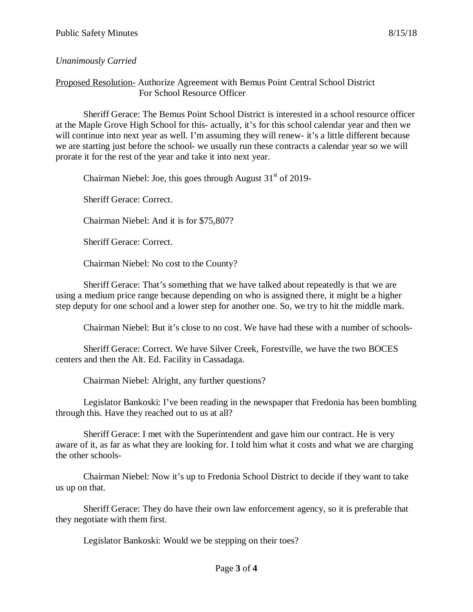## *Unanimously Carried*

#### Proposed Resolution- Authorize Agreement with Bemus Point Central School District For School Resource Officer

Sheriff Gerace: The Bemus Point School District is interested in a school resource officer at the Maple Grove High School for this- actually, it's for this school calendar year and then we will continue into next year as well. I'm assuming they will renew- it's a little different because we are starting just before the school- we usually run these contracts a calendar year so we will prorate it for the rest of the year and take it into next year.

Chairman Niebel: Joe, this goes through August  $31<sup>st</sup>$  of 2019-

Sheriff Gerace: Correct.

Chairman Niebel: And it is for \$75,807?

Sheriff Gerace: Correct.

Chairman Niebel: No cost to the County?

Sheriff Gerace: That's something that we have talked about repeatedly is that we are using a medium price range because depending on who is assigned there, it might be a higher step deputy for one school and a lower step for another one. So, we try to hit the middle mark.

Chairman Niebel: But it's close to no cost. We have had these with a number of schools-

Sheriff Gerace: Correct. We have Silver Creek, Forestville, we have the two BOCES centers and then the Alt. Ed. Facility in Cassadaga.

Chairman Niebel: Alright, any further questions?

Legislator Bankoski: I've been reading in the newspaper that Fredonia has been bumbling through this. Have they reached out to us at all?

Sheriff Gerace: I met with the Superintendent and gave him our contract. He is very aware of it, as far as what they are looking for. I told him what it costs and what we are charging the other schools-

Chairman Niebel: Now it's up to Fredonia School District to decide if they want to take us up on that.

Sheriff Gerace: They do have their own law enforcement agency, so it is preferable that they negotiate with them first.

Legislator Bankoski: Would we be stepping on their toes?